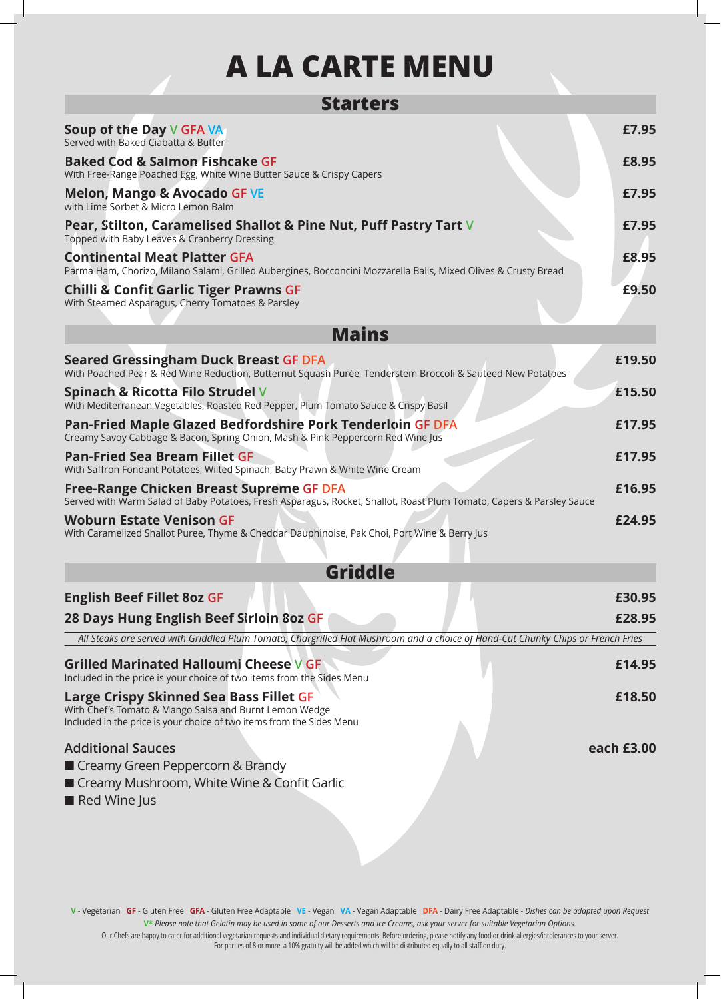## **A LA CARTE MENU**

| <b>Starters</b>                                                                                                                                                            |            |
|----------------------------------------------------------------------------------------------------------------------------------------------------------------------------|------------|
| Soup of the Day V GFA VA<br>Served with Baked Ciabatta & Butter                                                                                                            | £7.95      |
| <b>Baked Cod &amp; Salmon Fishcake GF</b><br>With Free-Range Poached Egg, White Wine Butter Sauce & Crispy Capers                                                          | £8.95      |
| <b>Melon, Mango &amp; Avocado GF VE</b><br>with Lime Sorbet & Micro Lemon Balm                                                                                             | £7.95      |
| Pear, Stilton, Caramelised Shallot & Pine Nut, Puff Pastry Tart V<br>Topped with Baby Leaves & Cranberry Dressing                                                          | £7.95      |
| <b>Continental Meat Platter GFA</b><br>Parma Ham, Chorizo, Milano Salami, Grilled Aubergines, Bocconcini Mozzarella Balls, Mixed Olives & Crusty Bread                     | £8.95      |
| <b>Chilli &amp; Confit Garlic Tiger Prawns GF</b><br>With Steamed Asparagus, Cherry Tomatoes & Parsley                                                                     | £9.50      |
| <b>Mains</b>                                                                                                                                                               |            |
| <b>Seared Gressingham Duck Breast GF DFA</b><br>With Poached Pear & Red Wine Reduction, Butternut Squash Purée, Tenderstem Broccoli & Sauteed New Potatoes                 | £19.50     |
| Spinach & Ricotta Filo Strudel V<br>With Mediterranean Vegetables, Roasted Red Pepper, Plum Tomato Sauce & Crispy Basil                                                    | £15.50     |
| Pan-Fried Maple Glazed Bedfordshire Pork Tenderloin GF DFA<br>Creamy Savoy Cabbage & Bacon, Spring Onion, Mash & Pink Peppercorn Red Wine Jus                              | £17.95     |
| <b>Pan-Fried Sea Bream Fillet GF</b><br>With Saffron Fondant Potatoes, Wilted Spinach, Baby Prawn & White Wine Cream                                                       | £17.95     |
| Free-Range Chicken Breast Supreme GF DFA<br>Served with Warm Salad of Baby Potatoes, Fresh Asparagus, Rocket, Shallot, Roast Plum Tomato, Capers & Parsley Sauce           | £16.95     |
| <b>Woburn Estate Venison GF</b><br>With Caramelized Shallot Puree, Thyme & Cheddar Dauphinoise, Pak Choi, Port Wine & Berry Jus<br><b>Griddle</b>                          | £24.95     |
|                                                                                                                                                                            | £30.95     |
| <b>English Beef Fillet 8oz GF</b><br>28 Days Hung English Beef Sirloin 8oz GF                                                                                              | £28.95     |
| All Steaks are served with Griddled Plum Tomato, Chargrilled Flat Mushroom and a choice of Hand-Cut Chunky Chips or French Fries                                           |            |
| <b>Grilled Marinated Halloumi Cheese V GF</b><br>Included in the price is your choice of two items from the Sides Menu                                                     | £14.95     |
| Large Crispy Skinned Sea Bass Fillet GF<br>With Chef's Tomato & Mango Salsa and Burnt Lemon Wedge<br>Included in the price is your choice of two items from the Sides Menu | £18.50     |
| <b>Additional Sauces</b><br>Creamy Green Peppercorn & Brandy<br>Creamy Mushroom, White Wine & Confit Garlic<br>Red Wine Jus                                                | each £3.00 |
|                                                                                                                                                                            |            |

**V** - Vegetarian **GF** - Gluten Free **GFA** - Gluten Free Adaptable **VE** - Vegan **VA** - Vegan Adaptable **DFA** - Dairy Free Adaptable - *Dishes can be adapted upon Request* **V\*** *Please note that Gelatin may be used in some of our Desserts and Ice Creams, ask your server for suitable Vegetarian Options*.

Our Chefs are happy to cater for additional vegetarian requests and individual dietary requirements. Before ordering, please notify any food or drink allergies/intolerances to your server. For parties of 8 or more, a 10% gratuity will be added which will be distributed equally to all staff on duty.